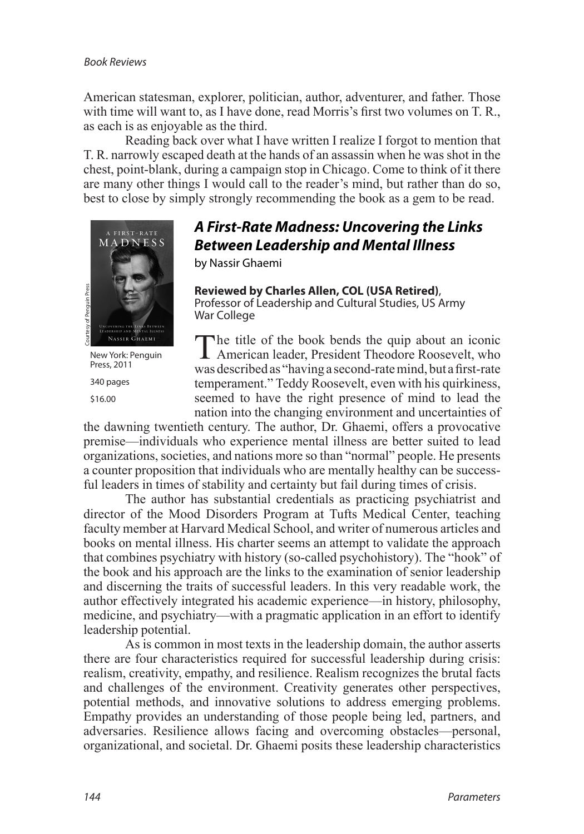American statesman, explorer, politician, author, adventurer, and father. Those with time will want to, as I have done, read Morris's first two volumes on T. R., as each is as enjoyable as the third.

Reading back over what I have written I realize I forgot to mention that T. R. narrowly escaped death at the hands of an assassin when he was shot in the chest, point-blank, during a campaign stop in Chicago. Come to think of it there are many other things I would call to the reader's mind, but rather than do so, best to close by simply strongly recommending the book as a gem to be read.



New York: Penguin Press, 2011

340 pages \$16.00

## *A First-Rate Madness: Uncovering the Links Between Leadership and Mental Illness*

by Nassir Ghaemi

**Reviewed by Charles Allen, COL (USA Retired)**, Professor of Leadership and Cultural Studies, US Army War College

The title of the book bends the quip about an iconic American leader, President Theodore Roosevelt, who was described as "having a second-rate mind, but a first-rate temperament." Teddy Roosevelt, even with his quirkiness, seemed to have the right presence of mind to lead the nation into the changing environment and uncertainties of

the dawning twentieth century. The author, Dr. Ghaemi, offers a provocative premise—individuals who experience mental illness are better suited to lead organizations, societies, and nations more so than "normal" people. He presents a counter proposition that individuals who are mentally healthy can be successful leaders in times of stability and certainty but fail during times of crisis.

The author has substantial credentials as practicing psychiatrist and director of the Mood Disorders Program at Tufts Medical Center, teaching faculty member at Harvard Medical School, and writer of numerous articles and books on mental illness. His charter seems an attempt to validate the approach that combines psychiatry with history (so-called psychohistory). The "hook" of the book and his approach are the links to the examination of senior leadership and discerning the traits of successful leaders. In this very readable work, the author effectively integrated his academic experience—in history, philosophy, medicine, and psychiatry—with a pragmatic application in an effort to identify leadership potential. **Revived by Charles Allen, COL (USA Retired).**<br>
Professor of Leadership and Cultural Studies, US Army<br>
War College<br> **Example 12** American leader, President Theodore Roosevell, who<br>
New Yorks President Theodore Roosevell, w

As is common in most texts in the leadership domain, the author asserts there are four characteristics required for successful leadership during crisis: realism, creativity, empathy, and resilience. Realism recognizes the brutal facts and challenges of the environment. Creativity generates other perspectives, potential methods, and innovative solutions to address emerging problems. Empathy provides an understanding of those people being led, partners, and adversaries. Resilience allows facing and overcoming obstacles—personal,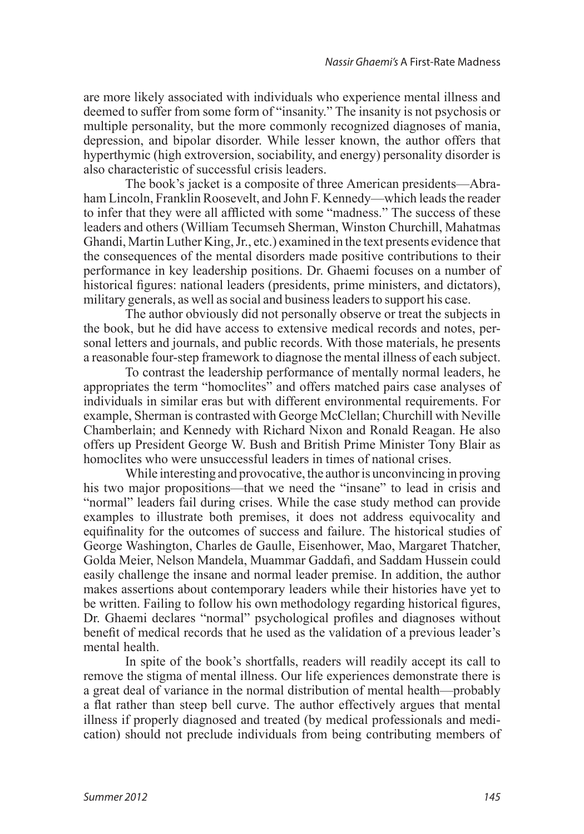are more likely associated with individuals who experience mental illness and deemed to suffer from some form of "insanity." The insanity is not psychosis or multiple personality, but the more commonly recognized diagnoses of mania, depression, and bipolar disorder. While lesser known, the author offers that hyperthymic (high extroversion, sociability, and energy) personality disorder is also characteristic of successful crisis leaders.

The book's jacket is a composite of three American presidents—Abraham Lincoln, Franklin Roosevelt, and John F. Kennedy—which leads the reader to infer that they were all afflicted with some "madness." The success of these leaders and others (William Tecumseh Sherman, Winston Churchill, Mahatmas Ghandi, Martin Luther King, Jr., etc.) examined in the text presents evidence that the consequences of the mental disorders made positive contributions to their performance in key leadership positions. Dr. Ghaemi focuses on a number of historical figures: national leaders (presidents, prime ministers, and dictators), military generals, as well as social and business leaders to support his case.

The author obviously did not personally observe or treat the subjects in the book, but he did have access to extensive medical records and notes, personal letters and journals, and public records. With those materials, he presents a reasonable four-step framework to diagnose the mental illness of each subject.

To contrast the leadership performance of mentally normal leaders, he appropriates the term "homoclites" and offers matched pairs case analyses of individuals in similar eras but with different environmental requirements. For example, Sherman is contrasted with George McClellan; Churchill with Neville Chamberlain; and Kennedy with Richard Nixon and Ronald Reagan. He also offers up President George W. Bush and British Prime Minister Tony Blair as homoclites who were unsuccessful leaders in times of national crises.

While interesting and provocative, the author is unconvincing in proving his two major propositions—that we need the "insane" to lead in crisis and "normal" leaders fail during crises. While the case study method can provide examples to illustrate both premises, it does not address equivocality and equifinality for the outcomes of success and failure. The historical studies of George Washington, Charles de Gaulle, Eisenhower, Mao, Margaret Thatcher, Golda Meier, Nelson Mandela, Muammar Gaddafi, and Saddam Hussein could easily challenge the insane and normal leader premise. In addition, the author makes assertions about contemporary leaders while their histories have yet to be written. Failing to follow his own methodology regarding historical figures, Dr. Ghaemi declares "normal" psychological profiles and diagnoses without benefit of medical records that he used as the validation of a previous leader's mental health.

In spite of the book's shortfalls, readers will readily accept its call to remove the stigma of mental illness. Our life experiences demonstrate there is a great deal of variance in the normal distribution of mental health—probably a flat rather than steep bell curve. The author effectively argues that mental illness if properly diagnosed and treated (by medical professionals and medication) should not preclude individuals from being contributing members of